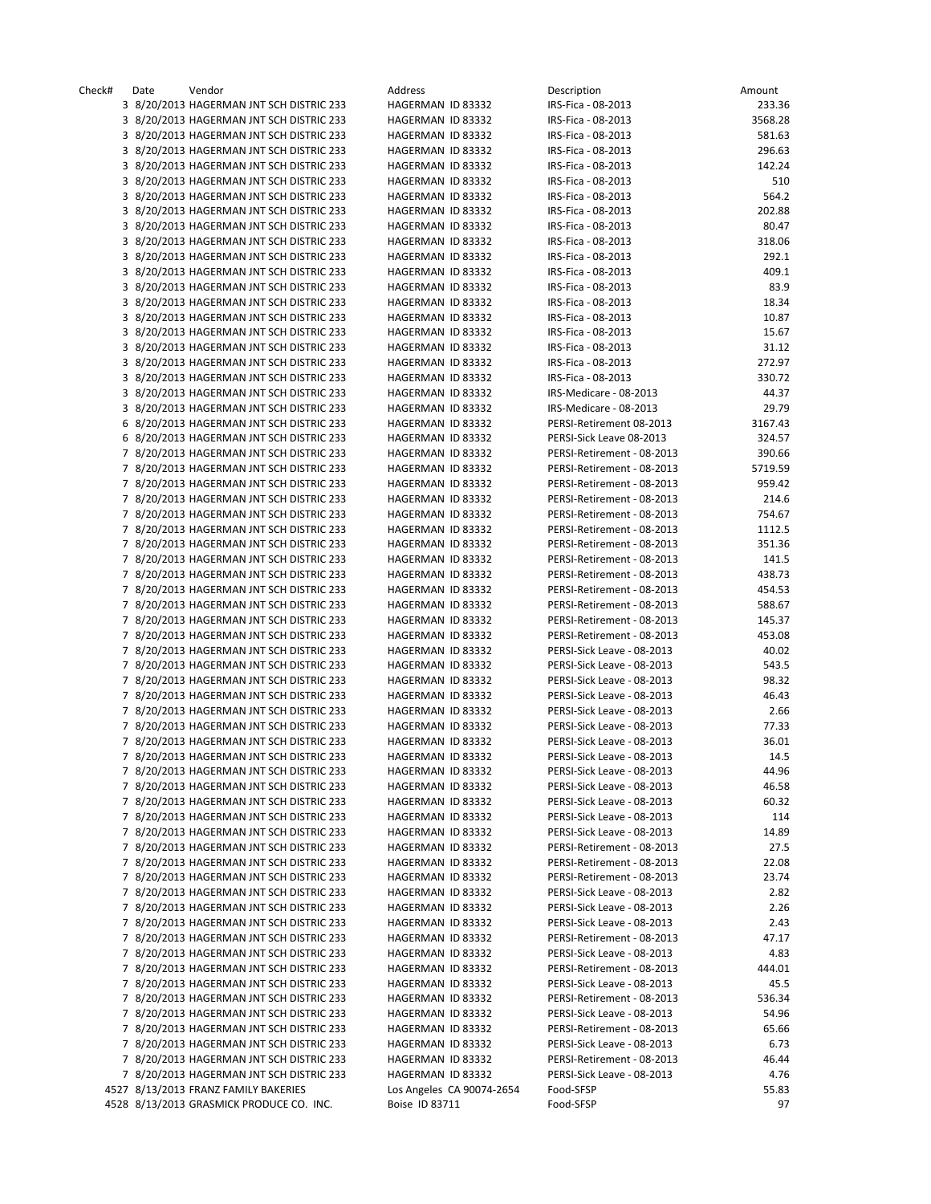| Check# | Date | Vendor                                   | Address           |                           | Description                | Amount  |
|--------|------|------------------------------------------|-------------------|---------------------------|----------------------------|---------|
|        |      | 3 8/20/2013 HAGERMAN JNT SCH DISTRIC 233 | HAGERMAN ID 83332 |                           | IRS-Fica - 08-2013         | 233.36  |
|        |      | 3 8/20/2013 HAGERMAN JNT SCH DISTRIC 233 | HAGERMAN ID 83332 |                           | IRS-Fica - 08-2013         | 3568.28 |
|        |      | 3 8/20/2013 HAGERMAN JNT SCH DISTRIC 233 | HAGERMAN ID 83332 |                           | IRS-Fica - 08-2013         | 581.63  |
|        |      | 3 8/20/2013 HAGERMAN JNT SCH DISTRIC 233 | HAGERMAN ID 83332 |                           | IRS-Fica - 08-2013         | 296.63  |
|        |      |                                          |                   |                           |                            | 142.24  |
|        |      | 3 8/20/2013 HAGERMAN JNT SCH DISTRIC 233 | HAGERMAN ID 83332 |                           | IRS-Fica - 08-2013         |         |
|        |      | 3 8/20/2013 HAGERMAN JNT SCH DISTRIC 233 | HAGERMAN ID 83332 |                           | IRS-Fica - 08-2013         | 510     |
|        |      | 3 8/20/2013 HAGERMAN JNT SCH DISTRIC 233 | HAGERMAN ID 83332 |                           | IRS-Fica - 08-2013         | 564.2   |
|        |      | 3 8/20/2013 HAGERMAN JNT SCH DISTRIC 233 | HAGERMAN ID 83332 |                           | IRS-Fica - 08-2013         | 202.88  |
|        |      | 3 8/20/2013 HAGERMAN JNT SCH DISTRIC 233 | HAGERMAN ID 83332 |                           | IRS-Fica - 08-2013         | 80.47   |
|        |      | 3 8/20/2013 HAGERMAN JNT SCH DISTRIC 233 | HAGERMAN ID 83332 |                           | IRS-Fica - 08-2013         | 318.06  |
|        |      | 3 8/20/2013 HAGERMAN JNT SCH DISTRIC 233 | HAGERMAN ID 83332 |                           | IRS-Fica - 08-2013         | 292.1   |
|        |      | 3 8/20/2013 HAGERMAN JNT SCH DISTRIC 233 | HAGERMAN ID 83332 |                           |                            |         |
|        |      |                                          |                   |                           | IRS-Fica - 08-2013         | 409.1   |
|        |      | 3 8/20/2013 HAGERMAN JNT SCH DISTRIC 233 | HAGERMAN ID 83332 |                           | IRS-Fica - 08-2013         | 83.9    |
|        |      | 3 8/20/2013 HAGERMAN JNT SCH DISTRIC 233 | HAGERMAN ID 83332 |                           | IRS-Fica - 08-2013         | 18.34   |
|        |      | 3 8/20/2013 HAGERMAN JNT SCH DISTRIC 233 | HAGERMAN ID 83332 |                           | IRS-Fica - 08-2013         | 10.87   |
|        |      | 3 8/20/2013 HAGERMAN JNT SCH DISTRIC 233 | HAGERMAN ID 83332 |                           | IRS-Fica - 08-2013         | 15.67   |
|        |      | 3 8/20/2013 HAGERMAN JNT SCH DISTRIC 233 | HAGERMAN ID 83332 |                           | IRS-Fica - 08-2013         | 31.12   |
|        |      | 3 8/20/2013 HAGERMAN JNT SCH DISTRIC 233 | HAGERMAN ID 83332 |                           | IRS-Fica - 08-2013         | 272.97  |
|        |      | 3 8/20/2013 HAGERMAN JNT SCH DISTRIC 233 | HAGERMAN ID 83332 |                           | IRS-Fica - 08-2013         | 330.72  |
|        |      |                                          |                   |                           |                            |         |
|        |      | 3 8/20/2013 HAGERMAN JNT SCH DISTRIC 233 | HAGERMAN ID 83332 |                           | IRS-Medicare - 08-2013     | 44.37   |
|        |      | 3 8/20/2013 HAGERMAN JNT SCH DISTRIC 233 | HAGERMAN ID 83332 |                           | IRS-Medicare - 08-2013     | 29.79   |
|        |      | 6 8/20/2013 HAGERMAN JNT SCH DISTRIC 233 | HAGERMAN ID 83332 |                           | PERSI-Retirement 08-2013   | 3167.43 |
|        |      | 6 8/20/2013 HAGERMAN JNT SCH DISTRIC 233 | HAGERMAN ID 83332 |                           | PERSI-Sick Leave 08-2013   | 324.57  |
|        |      | 7 8/20/2013 HAGERMAN JNT SCH DISTRIC 233 | HAGERMAN ID 83332 |                           | PERSI-Retirement - 08-2013 | 390.66  |
|        |      | 7 8/20/2013 HAGERMAN JNT SCH DISTRIC 233 | HAGERMAN ID 83332 |                           | PERSI-Retirement - 08-2013 | 5719.59 |
|        |      | 7 8/20/2013 HAGERMAN JNT SCH DISTRIC 233 | HAGERMAN ID 83332 |                           | PERSI-Retirement - 08-2013 | 959.42  |
|        |      |                                          |                   |                           |                            |         |
|        |      | 7 8/20/2013 HAGERMAN JNT SCH DISTRIC 233 | HAGERMAN ID 83332 |                           | PERSI-Retirement - 08-2013 | 214.6   |
|        |      | 7 8/20/2013 HAGERMAN JNT SCH DISTRIC 233 | HAGERMAN ID 83332 |                           | PERSI-Retirement - 08-2013 | 754.67  |
|        |      | 7 8/20/2013 HAGERMAN JNT SCH DISTRIC 233 | HAGERMAN ID 83332 |                           | PERSI-Retirement - 08-2013 | 1112.5  |
|        |      | 7 8/20/2013 HAGERMAN JNT SCH DISTRIC 233 | HAGERMAN ID 83332 |                           | PERSI-Retirement - 08-2013 | 351.36  |
|        |      | 7 8/20/2013 HAGERMAN JNT SCH DISTRIC 233 | HAGERMAN ID 83332 |                           | PERSI-Retirement - 08-2013 | 141.5   |
|        |      | 7 8/20/2013 HAGERMAN JNT SCH DISTRIC 233 | HAGERMAN ID 83332 |                           | PERSI-Retirement - 08-2013 | 438.73  |
|        |      | 7 8/20/2013 HAGERMAN JNT SCH DISTRIC 233 | HAGERMAN ID 83332 |                           | PERSI-Retirement - 08-2013 | 454.53  |
|        |      |                                          |                   |                           |                            |         |
|        |      | 7 8/20/2013 HAGERMAN JNT SCH DISTRIC 233 | HAGERMAN ID 83332 |                           | PERSI-Retirement - 08-2013 | 588.67  |
|        |      | 7 8/20/2013 HAGERMAN JNT SCH DISTRIC 233 | HAGERMAN ID 83332 |                           | PERSI-Retirement - 08-2013 | 145.37  |
|        |      | 7 8/20/2013 HAGERMAN JNT SCH DISTRIC 233 | HAGERMAN ID 83332 |                           | PERSI-Retirement - 08-2013 | 453.08  |
|        |      | 7 8/20/2013 HAGERMAN JNT SCH DISTRIC 233 | HAGERMAN ID 83332 |                           | PERSI-Sick Leave - 08-2013 | 40.02   |
|        |      | 7 8/20/2013 HAGERMAN JNT SCH DISTRIC 233 | HAGERMAN ID 83332 |                           | PERSI-Sick Leave - 08-2013 | 543.5   |
|        |      | 7 8/20/2013 HAGERMAN JNT SCH DISTRIC 233 | HAGERMAN ID 83332 |                           | PERSI-Sick Leave - 08-2013 | 98.32   |
|        |      | 7 8/20/2013 HAGERMAN JNT SCH DISTRIC 233 |                   |                           |                            | 46.43   |
|        |      |                                          | HAGERMAN ID 83332 |                           | PERSI-Sick Leave - 08-2013 |         |
|        |      | 7 8/20/2013 HAGERMAN JNT SCH DISTRIC 233 | HAGERMAN ID 83332 |                           | PERSI-Sick Leave - 08-2013 | 2.66    |
|        |      | 7 8/20/2013 HAGERMAN JNT SCH DISTRIC 233 | HAGERMAN ID 83332 |                           | PERSI-Sick Leave - 08-2013 | 77.33   |
|        |      | 7 8/20/2013 HAGERMAN JNT SCH DISTRIC 233 | HAGERMAN ID 83332 |                           | PERSI-Sick Leave - 08-2013 | 36.01   |
|        |      | 7 8/20/2013 HAGERMAN JNT SCH DISTRIC 233 | HAGERMAN ID 83332 |                           | PERSI-Sick Leave - 08-2013 | 14.5    |
|        |      | 7 8/20/2013 HAGERMAN JNT SCH DISTRIC 233 | HAGERMAN ID 83332 |                           | PERSI-Sick Leave - 08-2013 | 44.96   |
|        |      | 7 8/20/2013 HAGERMAN JNT SCH DISTRIC 233 | HAGERMAN ID 83332 |                           | PERSI-Sick Leave - 08-2013 | 46.58   |
|        |      |                                          |                   |                           |                            |         |
|        |      | 7 8/20/2013 HAGERMAN JNT SCH DISTRIC 233 | HAGERMAN ID 83332 |                           | PERSI-Sick Leave - 08-2013 | 60.32   |
|        |      | 7 8/20/2013 HAGERMAN JNT SCH DISTRIC 233 | HAGERMAN ID 83332 |                           | PERSI-Sick Leave - 08-2013 | 114     |
|        |      | 7 8/20/2013 HAGERMAN JNT SCH DISTRIC 233 | HAGERMAN ID 83332 |                           | PERSI-Sick Leave - 08-2013 | 14.89   |
|        |      | 7 8/20/2013 HAGERMAN JNT SCH DISTRIC 233 | HAGERMAN ID 83332 |                           | PERSI-Retirement - 08-2013 | 27.5    |
|        |      | 7 8/20/2013 HAGERMAN JNT SCH DISTRIC 233 | HAGERMAN ID 83332 |                           | PERSI-Retirement - 08-2013 | 22.08   |
|        |      | 7 8/20/2013 HAGERMAN JNT SCH DISTRIC 233 | HAGERMAN ID 83332 |                           | PERSI-Retirement - 08-2013 | 23.74   |
|        |      |                                          |                   |                           | PERSI-Sick Leave - 08-2013 |         |
|        |      | 7 8/20/2013 HAGERMAN JNT SCH DISTRIC 233 | HAGERMAN ID 83332 |                           |                            | 2.82    |
|        |      | 7 8/20/2013 HAGERMAN JNT SCH DISTRIC 233 | HAGERMAN ID 83332 |                           | PERSI-Sick Leave - 08-2013 | 2.26    |
|        |      | 7 8/20/2013 HAGERMAN JNT SCH DISTRIC 233 | HAGERMAN ID 83332 |                           | PERSI-Sick Leave - 08-2013 | 2.43    |
|        |      | 7 8/20/2013 HAGERMAN JNT SCH DISTRIC 233 | HAGERMAN ID 83332 |                           | PERSI-Retirement - 08-2013 | 47.17   |
|        |      | 7 8/20/2013 HAGERMAN JNT SCH DISTRIC 233 | HAGERMAN ID 83332 |                           | PERSI-Sick Leave - 08-2013 | 4.83    |
|        |      | 7 8/20/2013 HAGERMAN JNT SCH DISTRIC 233 | HAGERMAN ID 83332 |                           | PERSI-Retirement - 08-2013 | 444.01  |
|        |      | 7 8/20/2013 HAGERMAN JNT SCH DISTRIC 233 | HAGERMAN ID 83332 |                           | PERSI-Sick Leave - 08-2013 | 45.5    |
|        |      |                                          |                   |                           |                            |         |
|        |      | 7 8/20/2013 HAGERMAN JNT SCH DISTRIC 233 | HAGERMAN ID 83332 |                           | PERSI-Retirement - 08-2013 | 536.34  |
|        |      | 7 8/20/2013 HAGERMAN JNT SCH DISTRIC 233 | HAGERMAN ID 83332 |                           | PERSI-Sick Leave - 08-2013 | 54.96   |
|        |      | 7 8/20/2013 HAGERMAN JNT SCH DISTRIC 233 | HAGERMAN ID 83332 |                           | PERSI-Retirement - 08-2013 | 65.66   |
|        |      | 7 8/20/2013 HAGERMAN JNT SCH DISTRIC 233 | HAGERMAN ID 83332 |                           | PERSI-Sick Leave - 08-2013 | 6.73    |
|        |      | 7 8/20/2013 HAGERMAN JNT SCH DISTRIC 233 | HAGERMAN ID 83332 |                           | PERSI-Retirement - 08-2013 | 46.44   |
|        |      | 7 8/20/2013 HAGERMAN JNT SCH DISTRIC 233 | HAGERMAN ID 83332 |                           | PERSI-Sick Leave - 08-2013 | 4.76    |
|        |      | 4527 8/13/2013 FRANZ FAMILY BAKERIES     |                   |                           | Food-SFSP                  |         |
|        |      |                                          |                   | Los Angeles CA 90074-2654 |                            | 55.83   |
|        |      | 4528 8/13/2013 GRASMICK PRODUCE CO. INC. | Boise ID 83711    |                           | Food-SFSP                  | 97      |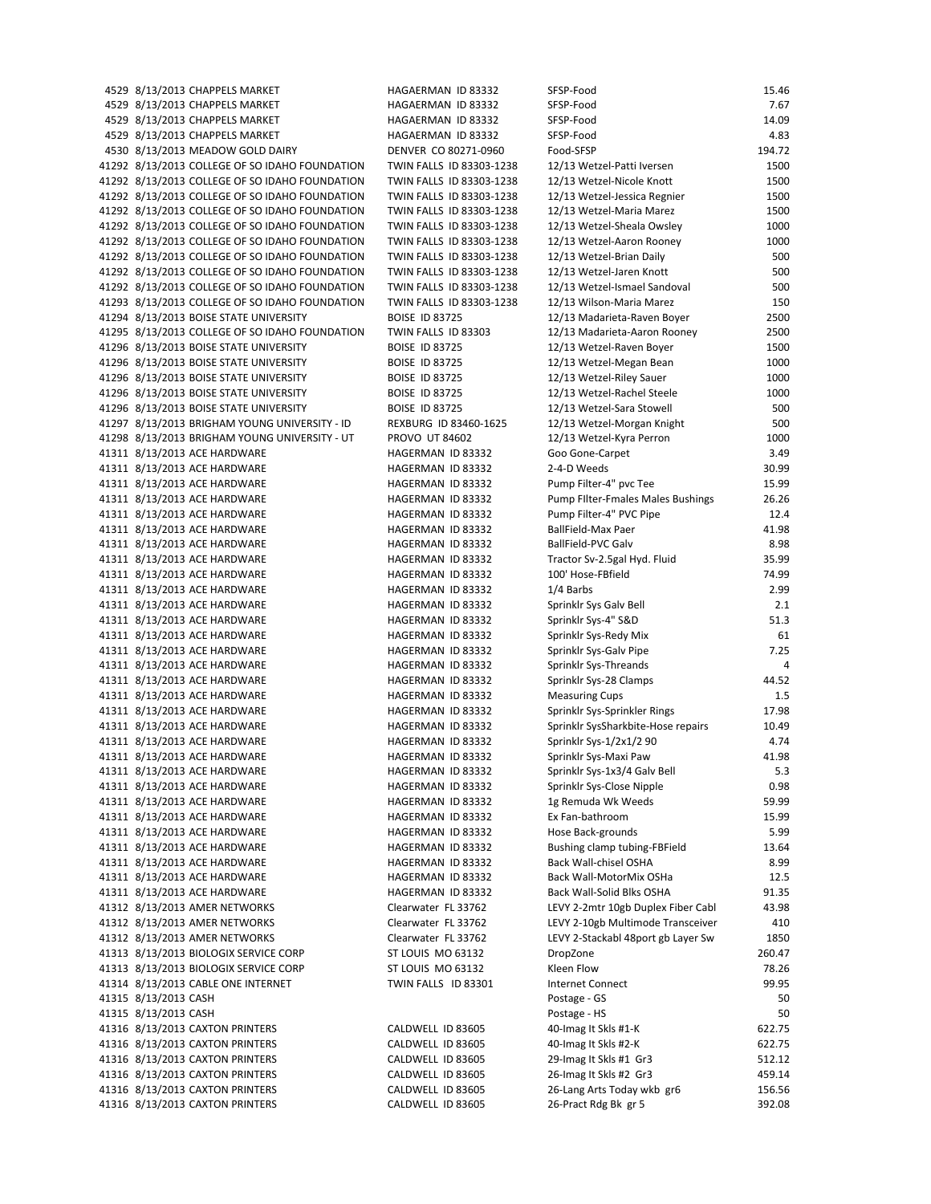4529 8/13/2013 CHAPPELS MARKET HAGAERMAN ID 83332 4529 8/13/2013 CHAPPELS MARKET HAGAERMAN ID 83332 4529 8/13/2013 CHAPPELS MARKET HAGAERMAN ID 83332 4529 8/13/2013 CHAPPELS MARKET HAGAERMAN ID 83332 4530 8/13/2013 MEADOW GOLD DAIRY DENVER CO 80271-0960 F 41292 8/13/2013 COLLEGE OF SO IDAHO FOUNDATION TWIN FALLS ID 83303-1238 41292 8/13/2013 COLLEGE OF SO IDAHO FOUNDATION TWIN FALLS ID 83303-1238 41292 8/13/2013 COLLEGE OF SO IDAHO FOUNDATION TWIN FALLS ID 83303-1238 41292 8/13/2013 COLLEGE OF SO IDAHO FOUNDATION TWIN FALLS ID 83303-1238 41292 8/13/2013 COLLEGE OF SO IDAHO FOUNDATION TWIN FALLS ID 83303-1238 41292 8/13/2013 COLLEGE OF SO IDAHO FOUNDATION TWIN FALLS ID 83303-1238 41292 8/13/2013 COLLEGE OF SO IDAHO FOUNDATION TWIN FALLS ID 83303-1238 41292 8/13/2013 COLLEGE OF SO IDAHO FOUNDATION TWIN FALLS ID 83303-1238 41292 8/13/2013 COLLEGE OF SO IDAHO FOUNDATION TWIN FALLS ID 83303-1238 41293 8/13/2013 COLLEGE OF SO IDAHO FOUNDATION TWIN FALLS ID 83303-1238 41294 8/13/2013 BOISE STATE UNIVERSITY BOISE ID 83725 41295 8/13/2013 COLLEGE OF SO IDAHO FOUNDATION TWIN FALLS ID 83303 41296 8/13/2013 BOISE STATE UNIVERSITY BOISE ID 83725 41296 8/13/2013 BOISE STATE UNIVERSITY BOISE ID 83725 41296 8/13/2013 BOISE STATE UNIVERSITY BOISE ID 83725 41296 8/13/2013 BOISE STATE UNIVERSITY BOISE ID 83725 41296 8/13/2013 BOISE STATE UNIVERSITY BOISE ID 83725 41297 8/13/2013 BRIGHAM YOUNG UNIVERSITY - ID REXBURG ID 83460-1625 41298 8/13/2013 BRIGHAM YOUNG UNIVERSITY - UT PROVO UT 84602 41311 8/13/2013 ACE HARDWARE HAGERMAN ID 83332 41311 8/13/2013 ACE HARDWARE HAGERMAN ID 83332 41311 8/13/2013 ACE HARDWARE HAGERMAN ID 83332 41311 8/13/2013 ACE HARDWARE HAGERMAN ID 83332 41311 8/13/2013 ACE HARDWARE HAGERMAN ID 83332 P 41311 8/13/2013 ACE HARDWARE HAGERMAN ID 83332 B 41311 8/13/2013 ACE HARDWARE HAGERMAN ID 83332 BallField 41311 8/13/2013 ACE HARDWARE HAGERMAN ID 83332 41311 8/13/2013 ACE HARDWARE HAGERMAN ID 83332 41311 8/13/2013 ACE HARDWARE HAGERMAN ID 83332 41311 8/13/2013 ACE HARDWARE HAGERMAN ID 83332 41311 8/13/2013 ACE HARDWARE HAGERMAN ID 83332 41311 8/13/2013 ACE HARDWARE HAGERMAN ID 83332 41311 8/13/2013 ACE HARDWARE HAGERMAN ID 83332 41311 8/13/2013 ACE HARDWARE HAGERMAN ID 83332 41311 8/13/2013 ACE HARDWARE HAGERMAN ID 83332 41311 8/13/2013 ACE HARDWARE **HAGERMAN ID 83332** 41311 8/13/2013 ACE HARDWARE HAGERMAN ID 83332 41311 8/13/2013 ACE HARDWARE HAGERMAN ID 83332 41311 8/13/2013 ACE HARDWARE HAGERMAN ID 83332 41311 8/13/2013 ACE HARDWARE HAGERMAN ID 83332 S 41311 8/13/2013 ACE HARDWARE HAGERMAN ID 83332 S 41311 8/13/2013 ACE HARDWARE HAGERMAN ID 83332 41311 8/13/2013 ACE HARDWARE HAGERMAN ID 83332 41311 8/13/2013 ACE HARDWARE HAGERMAN ID 83332 41311 8/13/2013 ACE HARDWARE HAGERMAN ID 83332 41311 8/13/2013 ACE HARDWARE HAGERMAN ID 83332 41311 8/13/2013 ACE HARDWARE HAGERMAN ID 83332 41311 8/13/2013 ACE HARDWARE HAGERMAN ID 83332 41311 8/13/2013 ACE HARDWARE HAGERMAN ID 83332 41312 8/13/2013 AMER NETWORKS Clearwater FL 33762 L 41312 8/13/2013 AMER NETWORKS Clearwater FL 33762 41312 8/13/2013 AMER NETWORKS Clearwater FL 33762 41313 8/13/2013 BIOLOGIX SERVICE CORP ST LOUIS MO 63132 DR 41313 8/13/2013 BIOLOGIX SERVICE CORP ST LOUIS MO 63132 41314 8/13/2013 CABLE ONE INTERNET TWIN FALLS ID 83301 41315 8/13/2013 CASH 41315 8/13/2013 CASH 41316 8/13/2013 CAXTON PRINTERS CALDWELL ID 83605 41316 8/13/2013 CAXTON PRINTERS CALDWELL ID 83605 41316 8/13/2013 CAXTON PRINTERS CALDWELL ID 83605 41316 8/13/2013 CAXTON PRINTERS CALDWELL ID 83605 41316 8/13/2013 CAXTON PRINTERS CALDWELL ID 83605 41316 8/13/2013 CAXTON PRINTERS CALDWELL ID 83605

| SFSP-Food                                                             | 15.46          |
|-----------------------------------------------------------------------|----------------|
| SFSP-Food                                                             | 7.67           |
| SFSP-Food<br>SFSP-Food                                                | 14.09<br>4.83  |
| ood-SFSP                                                              | 194.72         |
| 12/13 Wetzel-Patti Iversen                                            | 1500           |
| 12/13 Wetzel-Nicole Knott                                             | 1500           |
| 12/13 Wetzel-Jessica Regnier                                          | 1500           |
| 12/13 Wetzel-Maria Marez                                              | 1500           |
| 12/13 Wetzel-Sheala Owsley                                            | 1000           |
| 12/13 Wetzel-Aaron Rooney                                             | 1000           |
| 12/13 Wetzel-Brian Daily                                              | 500            |
| 12/13 Wetzel-Jaren Knott                                              | <b>500</b>     |
| 12/13 Wetzel-Ismael Sandoval                                          | <b>500</b>     |
| 12/13 Wilson-Maria Marez                                              | 150            |
| 12/13 Madarieta-Raven Boyer<br>12/13 Madarieta-Aaron Rooney           | 2500<br>2500   |
| 12/13 Wetzel-Raven Boyer                                              | 1500           |
| 12/13 Wetzel-Megan Bean                                               | 1000           |
| 12/13 Wetzel-Riley Sauer                                              | 1000           |
| 12/13 Wetzel-Rachel Steele                                            | 1000           |
| 12/13 Wetzel-Sara Stowell                                             | 500            |
| 12/13 Wetzel-Morgan Knight                                            | <b>500</b>     |
| 12/13 Wetzel-Kyra Perron                                              | 1000           |
| Goo Gone-Carpet                                                       | 3.49           |
| 2-4-D Weeds                                                           | 30.99          |
| Pump Filter-4" pvc Tee                                                | 15.99          |
| Pump Filter-Fmales Males Bushings                                     | 26.26          |
| ump Filter-4" PVC Pipe                                                | 12.4           |
| BallField-Max Paer<br>3allField-PVC Galv                              | 41.98<br>8.98  |
| Fractor Sv-2.5gal Hyd. Fluid                                          | 35.99          |
| 100' Hose-FBfield                                                     | 74.99          |
| 1/4 Barbs                                                             | 2.99           |
| Sprinklr Sys Galv Bell                                                | 2.1            |
| Sprinklr Sys-4" S&D                                                   | 51.3           |
| Sprinklr Sys-Redy Mix                                                 | 61             |
| Sprinklr Sys-Galv Pipe                                                | 7.25           |
| Sprinklr Sys-Threands                                                 | 4              |
| Sprinklr Sys-28 Clamps                                                | 44.52          |
| <b>Measuring Cups</b>                                                 | 1.5            |
| Sprinklr Sys-Sprinkler Rings                                          | 17.98<br>10.49 |
| Sprinklr SysSharkbite-Hose repairs<br>Sprinklr Sys-1/2x1/2 90         | 4.74           |
| Sprinklr Sys-Maxi Paw                                                 | 41.98          |
| Sprinklr Sys-1x3/4 Galv Bell                                          | 5.3            |
| Sprinklr Sys-Close Nipple                                             | 0.98           |
| Lg Remuda Wk Weeds                                                    | 59.99          |
| Ex Fan-bathroom                                                       | 15.99          |
| lose Back-grounds                                                     | 5.99           |
| Bushing clamp tubing-FBField                                          | 13.64          |
| Back Wall-chisel OSHA                                                 | 8.99           |
| Back Wall-MotorMix OSHa                                               | 12.5           |
| Back Wall-Solid Blks OSHA                                             | 91.35          |
| EVY 2-2mtr 10gb Duplex Fiber Cabl                                     | 43.98          |
| EVY 2-10gb Multimode Transceiver<br>EVY 2-Stackabl 48port gb Layer Sw | 41C<br>1850    |
| <b>DropZone</b>                                                       | 260.47         |
| <b>(leen Flow</b>                                                     | 78.26          |
| nternet Connect                                                       | 99.95          |
| ostage - GS                                                           | 50             |
| ostage - HS                                                           | 50             |
| 10-Imag It Skls #1-K                                                  | 622.75         |
| 40-Imag It Skls #2-K                                                  | 622.75         |
| 29-Imag It Skls #1 Gr3                                                | 512.12         |
| 26-Imag It Skls #2 Gr3                                                | 459.14         |
| 26-Lang Arts Today wkb gr6                                            | 156.56         |
| 26-Pract Rdg Bk gr 5                                                  | 392.08         |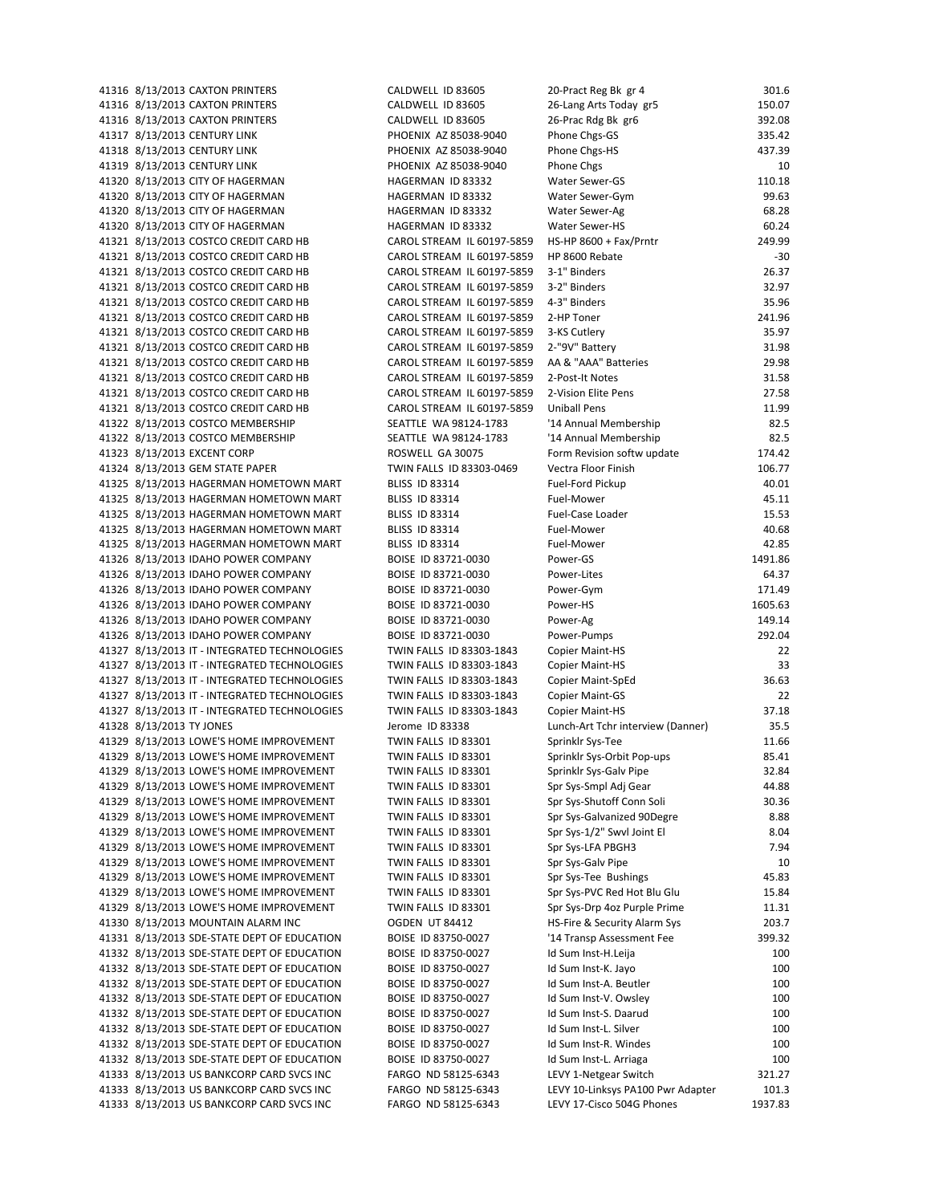41316 8/13/2013 CAXTON PRINTERS CALDWELL ID 83605 41316 8/13/2013 CAXTON PRINTERS CALDWELL ID 83605 41316 8/13/2013 CAXTON PRINTERS CALDWELL ID 83605 41317 8/13/2013 CENTURY LINK PHOENIX AZ 85038-9040 F 41318 8/13/2013 CENTURY LINK **PHOENIX AZ 85038-9040** P 41319 8/13/2013 CENTURY LINK **PHOENIX AZ 85038-9040** P 41320 8/13/2013 CITY OF HAGERMAN HAGERMAN ID 83332 41320 8/13/2013 CITY OF HAGERMAN 
HAGERMAN ID 83332 41320 8/13/2013 CITY OF HAGERMAN NETRAN HAGERMAN ID 83332 41320 8/13/2013 CITY OF HAGERMAN 
HAGERMAN ID 83332 41321 8/13/2013 COSTCO CREDIT CARD HB CAROL STREAM IL 60197-5859 H 41321 8/13/2013 COSTCO CREDIT CARD HB CAROL STREAM IL 60197-5859 41321 8/13/2013 COSTCO CREDIT CARD HB CAROL STREAM IL 60197-5859 41321 8/13/2013 COSTCO CREDIT CARD HB CAROL STREAM IL 60197-5859 41321 8/13/2013 COSTCO CREDIT CARD HB CAROL STREAM IL 60197-5859 41321 8/13/2013 COSTCO CREDIT CARD HB CAROL STREAM IL 60197-5859 41321 8/13/2013 COSTCO CREDIT CARD HB CAROL STREAM IL 60197-5859 41321 8/13/2013 COSTCO CREDIT CARD HB CAROL STREAM IL 60197-5859 41321 8/13/2013 COSTCO CREDIT CARD HB CAROL STREAM IL 60197-5859 A 41321 8/13/2013 COSTCO CREDIT CARD HB CAROL STREAM IL 60197-5859 41321 8/13/2013 COSTCO CREDIT CARD HB CAROL STREAM IL 60197-5859 41321 8/13/2013 COSTCO CREDIT CARD HB CAROL STREAM IL 60197-5859 U 41322 8/13/2013 COSTCO MEMBERSHIP SEATTLE WA 98124-1783 41322 8/13/2013 COSTCO MEMBERSHIP SEATTLE WA 98124-1783 41323 8/13/2013 EXCENT CORP ROSWELL GA 30075 41324 8/13/2013 GEM STATE PAPER TWIN FALLS ID 83303-0469 41325 8/13/2013 HAGERMAN HOMETOWN MART BLISS ID 83314 41325 8/13/2013 HAGERMAN HOMETOWN MART BLISS ID 83314 41325 8/13/2013 HAGERMAN HOMETOWN MART BLISS ID 83314 41325 8/13/2013 HAGERMAN HOMETOWN MART BLISS ID 83314 41325 8/13/2013 HAGERMAN HOMETOWN MART BLISS ID 83314 41326 8/13/2013 IDAHO POWER COMPANY BOISE ID 83721-0030 41326 8/13/2013 IDAHO POWER COMPANY BOISE ID 83721-0030 41326 8/13/2013 IDAHO POWER COMPANY BOISE ID 83721-0030 41326 8/13/2013 IDAHO POWER COMPANY BOISE ID 83721-0030 41326 8/13/2013 IDAHO POWER COMPANY BOISE ID 83721-0030 41326 8/13/2013 IDAHO POWER COMPANY BOISE ID 83721-0030 F 41327 8/13/2013 IT - INTEGRATED TECHNOLOGIES TWIN FALLS ID 83303-1843 C 41327 8/13/2013 IT - INTEGRATED TECHNOLOGIES TWIN FALLS ID 83303-1843 41327 8/13/2013 IT - INTEGRATED TECHNOLOGIES TWIN FALLS ID 83303-1843 C 41327 8/13/2013 IT - INTEGRATED TECHNOLOGIES TWIN FALLS ID 83303-1843 C 41327 8/13/2013 IT - INTEGRATED TECHNOLOGIES TWIN FALLS ID 83303-1843 C 41328 8/13/2013 TY JONES Jerome ID 83338 41329 8/13/2013 LOWE'S HOME IMPROVEMENT TWIN FALLS ID 83301 41329 8/13/2013 LOWE'S HOME IMPROVEMENT TWIN FALLS ID 83301 41329 8/13/2013 LOWE'S HOME IMPROVEMENT TWIN FALLS ID 83301 S 41329 8/13/2013 LOWE'S HOME IMPROVEMENT TWIN FALLS ID 83301 S 41329 8/13/2013 LOWE'S HOME IMPROVEMENT TWIN FALLS ID 83301 41329 8/13/2013 LOWE'S HOME IMPROVEMENT TWIN FALLS ID 83301 41329 8/13/2013 LOWE'S HOME IMPROVEMENT TWIN FALLS ID 83301 S 41329 8/13/2013 LOWE'S HOME IMPROVEMENT TWIN FALLS ID 83301 41329 8/13/2013 LOWE'S HOME IMPROVEMENT TWIN FALLS ID 83301 41329 8/13/2013 LOWE'S HOME IMPROVEMENT TWIN FALLS ID 83301 41329 8/13/2013 LOWE'S HOME IMPROVEMENT TWIN FALLS ID 83301 S 41329 8/13/2013 LOWE'S HOME IMPROVEMENT TWIN FALLS ID 83301 41330 8/13/2013 MOUNTAIN ALARM INC OGDEN UT 84412 HS 41331 8/13/2013 SDE-STATE DEPT OF EDUCATION BOISE ID 83750-0027 41332 8/13/2013 SDE-STATE DEPT OF EDUCATION BOISE ID 83750-0027 ID 41332 8/13/2013 SDE-STATE DEPT OF EDUCATION BOISE ID 83750-0027 Inst 41332 8/13/2013 SDE-STATE DEPT OF EDUCATION BOISE ID 83750-0027 41332 8/13/2013 SDE-STATE DEPT OF EDUCATION BOISE ID 83750-0027 41332 8/13/2013 SDE-STATE DEPT OF EDUCATION BOISE ID 83750-0027 Inst 41332 8/13/2013 SDE-STATE DEPT OF EDUCATION BOISE ID 83750-0027 41332 8/13/2013 SDE-STATE DEPT OF EDUCATION BOISE ID 83750-0027 41332 8/13/2013 SDE-STATE DEPT OF EDUCATION BOISE ID 83750-0027 41333 8/13/2013 US BANKCORP CARD SVCS INC FARGO ND 58125-6343 L 41333 8/13/2013 US BANKCORP CARD SVCS INC FARGO ND 58125-6343 L 41333 8/13/2013 US BANKCORP CARD SVCS INC FARGO ND 58125-6343 LEV

| 20-Pract Reg Bk gr 4                                         | 301.6           |
|--------------------------------------------------------------|-----------------|
| 26-Lang Arts Today gr5                                       | 150.07          |
| 26-Prac Rdg Bk gr6                                           | 392.08          |
| hone Chgs-GS                                                 | 335.42          |
| Phone Chgs-HS                                                | 437.39          |
| Phone Chgs                                                   | 10              |
| Nater Sewer-GS                                               | 110.18          |
| Nater Sewer-Gym<br>Nater Sewer-Ag                            | 99.63<br>68.28  |
| Nater Sewer-HS                                               | 60.24           |
| IS-HP 8600 + Fax/Prntr                                       | 249.99          |
| HP 8600 Rebate                                               | $-30$           |
| 3-1" Binders                                                 | 26.37           |
| 3-2" Binders                                                 | 32.97           |
| 1-3" Binders                                                 | 35.96           |
| 2-HP Toner                                                   | 241.96          |
| 3-KS Cutlery                                                 | 35.97           |
| 2-"9V" Battery                                               | 31.98           |
| AA & "AAA" Batteries                                         | 29.98           |
| 2-Post-It Notes                                              | 31.58           |
| 2-Vision Elite Pens                                          | 27.58           |
| Jniball Pens                                                 | 11.99           |
| 14 Annual Membership                                         | 82.5            |
| 14 Annual Membership                                         | 82.5            |
| orm Revision softw update                                    | 174.42          |
| /ectra Floor Finish                                          | 106.77          |
| uel-Ford Pickup <sup>-</sup>                                 | 40.01           |
| uel-Mower <del>-</del>                                       | 45.11           |
| uel-Case Loader<br>uel-Mower <del>-</del>                    | 15.53<br>40.68  |
| uel-Mower <del>-</del>                                       | 42.85           |
| ower-GS                                                      | 1491.86         |
| ower-Lites                                                   | 64.37           |
| ower-Gym                                                     | 171.49          |
| ower-HS                                                      | 1605.63         |
| ower-Ag                                                      | 149.14          |
| ower-Pumps                                                   | 292.04          |
| Copier Maint-HS                                              | 22              |
| Copier Maint-HS                                              | 33              |
| Copier Maint-SpEd                                            | 36.63           |
| Copier Maint-GS                                              | 22              |
| Copier Maint-HS                                              | 37.18           |
| unch-Art Tchr interview (Danner)                             | 35.5            |
| Sprinklr Sys-Tee                                             | 11.66           |
| Sprinklr Sys-Orbit Pop-ups                                   | 85.41           |
| Sprinklr Sys-Galv Pipe                                       | 32.84           |
| Spr Sys-Smpl Adj Gear<br>Spr Sys-Shutoff Conn Soli           | 44.88<br>30.36  |
| Spr Sys-Galvanized 90Degre                                   | 8.88            |
| Spr Sys-1/2" Swvl Joint El                                   | 8.04            |
| Spr Sys-LFA PBGH3                                            | 7.94            |
| Spr Sys-Galv Pipe                                            | 10              |
| Spr Sys-Tee Bushings                                         | 45.83           |
| Spr Sys-PVC Red Hot Blu Glu                                  | 15.84           |
| Spr Sys-Drp 4oz Purple Prime                                 | 11.31           |
| <b>HS-Fire &amp; Security Alarm Sys</b>                      | 203.7           |
| 14 Transp Assessment Fee                                     | 399.32          |
| d Sum Inst-H.Leija                                           | 100             |
| d Sum Inst-K. Jayo                                           | 100             |
| d Sum Inst-A. Beutler                                        | 100             |
| d Sum Inst-V. Owsley                                         | 100             |
| d Sum Inst-S. Daarud                                         | 100             |
| d Sum Inst-L. Silver                                         | 100             |
| d Sum Inst-R. Windes                                         | 100             |
| d Sum Inst-L. Arriaga                                        | 100             |
| EVY 1-Netgear Switch                                         | 321.27<br>101.3 |
| EVY 10-Linksys PA100 Pwr Adapter<br>EVY 17-Cisco 504G Phones | 1937.83         |
|                                                              |                 |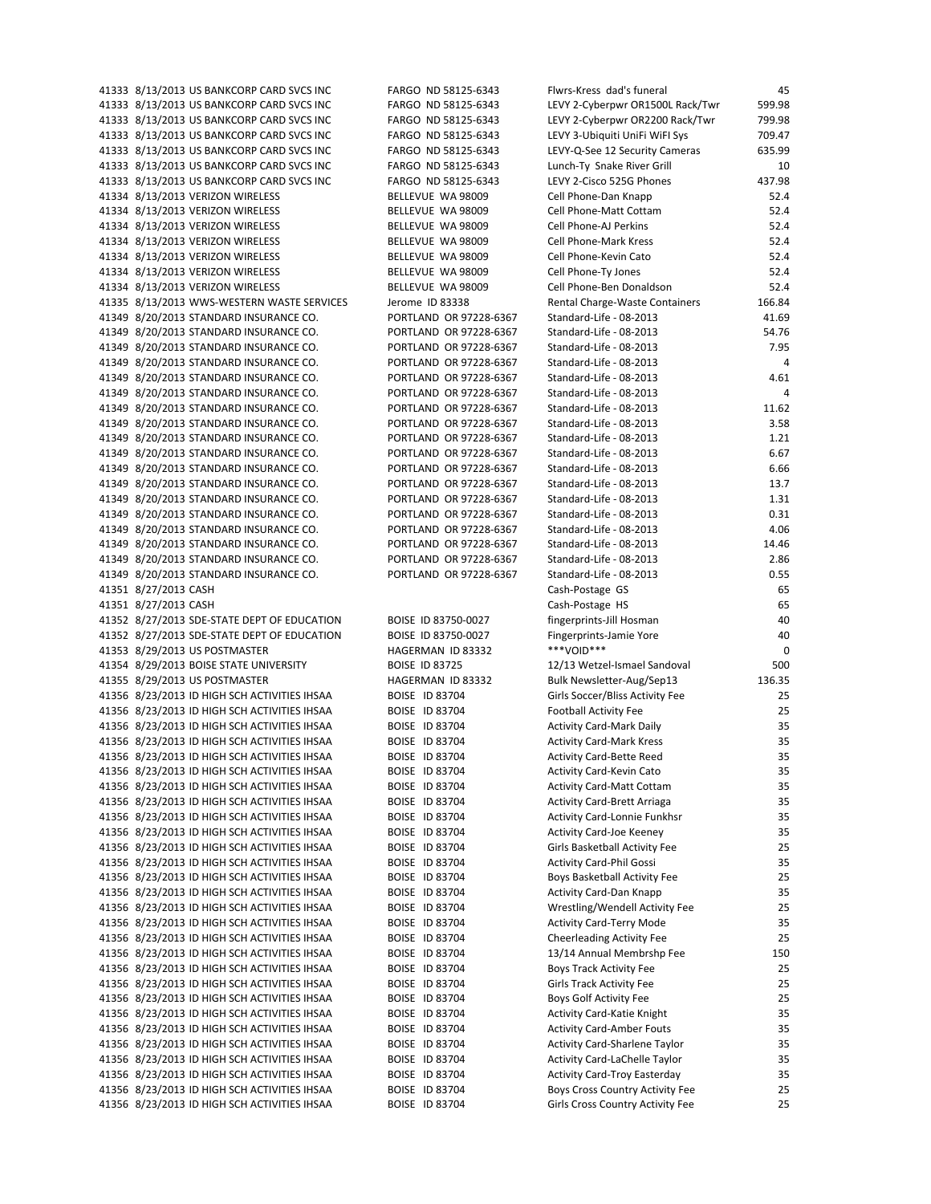41333 8/13/2013 US BANKCORP CARD SVCS INC FARGO ND 58125‐6343 LEVY 2‐Cyberpwr OR1500L Rack/Twr 599.98 41333 8/13/2013 US BANKCORP CARD SVCS INC FARGO ND 58125‐6343 LEVY 2‐Cyberpwr OR2200 Rack/Twr 799.98 41333 8/13/2013 US BANKCORP CARD SVCS INC FARGO ND 58125-6343 LEVY 3-Ubiquiti UniFi WiFI Sys 709.47 41333 8/13/2013 US BANKCORP CARD SVCS INC FARGO ND 58125-6343 LEVY-Q-See 12 Security Cameras 635.99 41333 8/13/2013 US BANKCORP CARD SVCS INC FARGO ND 58125‐6343 Lunch‐Ty Snake River Grill 10 41333 8/13/2013 US BANKCORP CARD SVCS INC FARGO ND 58125-6343 LEVY 2-Cisco 525G Phones 437.98 41334 8/13/2013 VERIZON WIRELESS BELLEVUE WA 98009 Cell Phone‐Dan Knapp 52.4 41334 8/13/2013 VERIZON WIRELESS BELLEVUE WA 98009 Cell Phone‐Matt Cottam 52.4 41334 8/13/2013 VERIZON WIRELESS BELLEVUE WA 98009 Cell Phone-AJ Perkins 52.4 41334 8/13/2013 VERIZON WIRELESS BELLEVUE WA 98009 Cell Phone-Mark Kress 52.4 41334 8/13/2013 VERIZON WIRELESS BELLEVUE WA 98009 Cell Phone‐Kevin Cato 52.4 41334 8/13/2013 VERIZON WIRELESS BELLEVUE WA 98009 Cell Phone‐Ty Jones 52.4 41334 8/13/2013 VERIZON WIRELESS BELLEVUE WA 98009 Cell Phone‐Ben Donaldson 52.4 41335 8/13/2013 WWS-WESTERN WASTE SERVICES Jerome ID 83338 Rental Charge-Waste Containers 166.84 41349 8/20/2013 STANDARD INSURANCE CO. PORTLAND OR 97228‐6367 Standard‐Life ‐ 08‐2013 41.69 41349 8/20/2013 STANDARD INSURANCE CO. PORTLAND OR 97228-6367 Standard-Life - 08-2013 54.76 41349 8/20/2013 STANDARD INSURANCE CO. PORTLAND OR 97228‐6367 Standard‐Life ‐ 08‐2013 7.95 41349 8/20/2013 STANDARD INSURANCE CO. PORTLAND OR 97228‐6367 Standard‐Life ‐ 08‐2013 4 41349 8/20/2013 STANDARD INSURANCE CO. PORTLAND OR 97228‐6367 Standard‐Life ‐ 08‐2013 4.61 41349 8/20/2013 STANDARD INSURANCE CO. PORTLAND OR 97228‐6367 Standard‐Life ‐ 08‐2013 4 41349 8/20/2013 STANDARD INSURANCE CO. PORTLAND OR 97228‐6367 Standard‐Life ‐ 08‐2013 11.62 41349 8/20/2013 STANDARD INSURANCE CO. PORTLAND OR 97228‐6367 Standard‐Life ‐ 08‐2013 3.58 41349 8/20/2013 STANDARD INSURANCE CO. PORTLAND OR 97228‐6367 Standard‐Life ‐ 08‐2013 1.21 41349 8/20/2013 STANDARD INSURANCE CO. PORTLAND OR 97228‐6367 Standard‐Life ‐ 08‐2013 6.67 41349 8/20/2013 STANDARD INSURANCE CO. PORTLAND OR 97228‐6367 Standard‐Life ‐ 08‐2013 6.66 41349 8/20/2013 STANDARD INSURANCE CO. PORTLAND OR 97228‐6367 Standard‐Life ‐ 08‐2013 13.7 41349 8/20/2013 STANDARD INSURANCE CO. PORTLAND OR 97228‐6367 Standard‐Life ‐ 08‐2013 1.31 41349 8/20/2013 STANDARD INSURANCE CO. PORTLAND OR 97228‐6367 Standard‐Life ‐ 08‐2013 0.31 41349 8/20/2013 STANDARD INSURANCE CO. PORTLAND OR 97228‐6367 Standard‐Life ‐ 08‐2013 4.06 41349 8/20/2013 STANDARD INSURANCE CO. PORTLAND OR 97228‐6367 Standard‐Life ‐ 08‐2013 14.46 41349 8/20/2013 STANDARD INSURANCE CO. PORTLAND OR 97228‐6367 Standard‐Life ‐ 08‐2013 2.86 41349 8/20/2013 STANDARD INSURANCE CO. PORTLAND OR 97228‐6367 Standard‐Life ‐ 08‐2013 0.55 41351 8/27/2013 CASH Cash‐Postage GS 65 41351 8/27/2013 CASH Cash‐Postage HS Cash‐Postage HS Cash‐Postage HS Cash‐Postage HS C 41352 8/27/2013 SDE-STATE DEPT OF EDUCATION BOISE ID 83750-0027 fingerprints-Jill Hosman 40 41352 8/27/2013 SDE-STATE DEPT OF EDUCATION BOISE ID 83750-0027 Fingerprints-Jamie Yore 40 41353 8/29/2013 US POSTMASTER HAGERMAN ID 83332 \*\*\*VOID\*\*\* 0 41354 8/29/2013 BOISE STATE UNIVERSITY BOISE ID 83725 12/13 Wetzel-Ismael Sandoval 500 41355 8/29/2013 US POSTMASTER HAGERMAN ID 83332 Bulk Newsletter-Aug/Sep13 136.35 41356 8/23/2013 ID HIGH SCH ACTIVITIES IHSAA BOISE ID 83704 Girls Soccer/Bliss Activity Fee 25 41356 8/23/2013 ID HIGH SCH ACTIVITIES IHSAA BOISE ID 83704 Football Activity Fee 25 41356 8/23/2013 ID HIGH SCH ACTIVITIES IHSAA BOISE ID 83704 Activity Card-Mark Daily 35 41356 8/23/2013 ID HIGH SCH ACTIVITIES IHSAA BOISE ID 83704 Activity Card-Mark Kress 35 41356 8/23/2013 ID HIGH SCH ACTIVITIES IHSAA BOISE ID 83704 Activity Card-Bette Reed 35 41356 8/23/2013 ID HIGH SCH ACTIVITIES IHSAA BOISE ID 83704 Activity Card‐Kevin Cato 35 41356 8/23/2013 ID HIGH SCH ACTIVITIES IHSAA BOISE ID 83704 Activity Card-Matt Cottam 35 41356 8/23/2013 ID HIGH SCH ACTIVITIES IHSAA BOISE ID 83704 Activity Card-Brett Arriaga 35 41356 8/23/2013 ID HIGH SCH ACTIVITIES IHSAA BOISE ID 83704 Activity Card-Lonnie Funkhsr 35 41356 8/23/2013 ID HIGH SCH ACTIVITIES IHSAA BOISE ID 83704 Activity Card‐Joe Keeney 35 41356 8/23/2013 ID HIGH SCH ACTIVITIES IHSAA BOISE ID 83704 Girls Basketball Activity Fee 25 41356 8/23/2013 ID HIGH SCH ACTIVITIES IHSAA BOISE ID 83704 Activity Card-Phil Gossi 35 41356 8/23/2013 ID HIGH SCH ACTIVITIES IHSAA BOISE ID 83704 Boys Basketball Activity Fee 25 41356 8/23/2013 ID HIGH SCH ACTIVITIES IHSAA BOISE ID 83704 Activity Card-Dan Knapp 35 41356 8/23/2013 ID HIGH SCH ACTIVITIES IHSAA BOISE ID 83704 Wrestling/Wendell Activity Fee 25 41356 8/23/2013 ID HIGH SCH ACTIVITIES IHSAA BOISE ID 83704 Activity Card-Terry Mode 35 41356 8/23/2013 ID HIGH SCH ACTIVITIES IHSAA BOISE ID 83704 Cheerleading Activity Fee 25 41356 8/23/2013 ID HIGH SCH ACTIVITIES IHSAA BOISE ID 83704 13/14 Annual Membrshp Fee 150 41356 8/23/2013 ID HIGH SCH ACTIVITIES IHSAA BOISE ID 83704 Boys Track Activity Fee 25 41356 8/23/2013 ID HIGH SCH ACTIVITIES IHSAA BOISE ID 83704 Girls Track Activity Fee 25 41356 8/23/2013 ID HIGH SCH ACTIVITIES IHSAA BOISE ID 83704 Boys Golf Activity Fee 25 41356 8/23/2013 ID HIGH SCH ACTIVITIES IHSAA BOISE ID 83704 Activity Card-Katie Knight 35 41356 8/23/2013 ID HIGH SCH ACTIVITIES IHSAA BOISE ID 83704 Activity Card-Amber Fouts 35 41356 8/23/2013 ID HIGH SCH ACTIVITIES IHSAA BOISE ID 83704 Activity Card-Sharlene Taylor 35 41356 8/23/2013 ID HIGH SCH ACTIVITIES IHSAA BOISE ID 83704 Activity Card-LaChelle Taylor 35 41356 8/23/2013 ID HIGH SCH ACTIVITIES IHSAA BOISE ID 83704 Activity Card-Troy Easterday 35 41356 8/23/2013 ID HIGH SCH ACTIVITIES IHSAA BOISE ID 83704 Boys Cross Country Activity Fee 25

41333 8/13/2013 US BANKCORP CARD SVCS INC FARGO ND 58125‐6343 Flwrs‐Kress dad's funeral 45 41356 8/23/2013 ID HIGH SCH ACTIVITIES IHSAA BOISE ID 83704 Girls Cross Country Activity Fee 25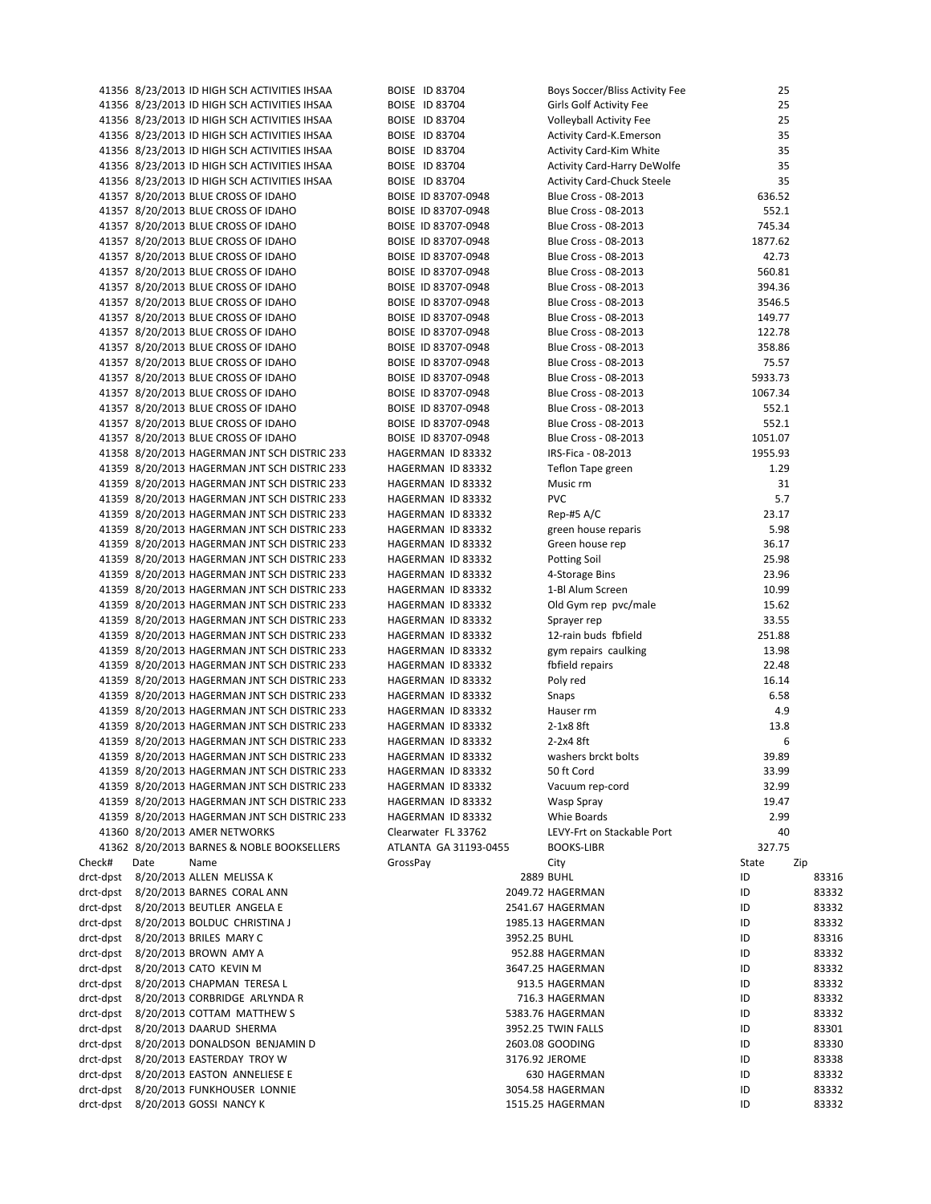|           |      | 41356 8/23/2013 ID HIGH SCH ACTIVITIES IHSAA | BOISE ID 83704        |              | Boys Soccer/Bliss Activity Fee     | 25      |       |
|-----------|------|----------------------------------------------|-----------------------|--------------|------------------------------------|---------|-------|
|           |      | 41356 8/23/2013 ID HIGH SCH ACTIVITIES IHSAA | BOISE ID 83704        |              | Girls Golf Activity Fee            | 25      |       |
|           |      | 41356 8/23/2013 ID HIGH SCH ACTIVITIES IHSAA | BOISE ID 83704        |              | <b>Volleyball Activity Fee</b>     | 25      |       |
|           |      | 41356 8/23/2013 ID HIGH SCH ACTIVITIES IHSAA | BOISE ID 83704        |              | Activity Card-K.Emerson            | 35      |       |
|           |      | 41356 8/23/2013 ID HIGH SCH ACTIVITIES IHSAA | BOISE ID 83704        |              | Activity Card-Kim White            | 35      |       |
|           |      | 41356 8/23/2013 ID HIGH SCH ACTIVITIES IHSAA | BOISE ID 83704        |              | <b>Activity Card-Harry DeWolfe</b> | 35      |       |
|           |      | 41356 8/23/2013 ID HIGH SCH ACTIVITIES IHSAA | BOISE ID 83704        |              | <b>Activity Card-Chuck Steele</b>  | 35      |       |
|           |      | 41357 8/20/2013 BLUE CROSS OF IDAHO          | BOISE ID 83707-0948   |              | Blue Cross - 08-2013               | 636.52  |       |
|           |      | 41357 8/20/2013 BLUE CROSS OF IDAHO          | BOISE ID 83707-0948   |              | Blue Cross - 08-2013               | 552.1   |       |
|           |      |                                              | BOISE ID 83707-0948   |              | Blue Cross - 08-2013               |         |       |
|           |      | 41357 8/20/2013 BLUE CROSS OF IDAHO          |                       |              |                                    | 745.34  |       |
|           |      | 41357 8/20/2013 BLUE CROSS OF IDAHO          | BOISE ID 83707-0948   |              | Blue Cross - 08-2013               | 1877.62 |       |
|           |      | 41357 8/20/2013 BLUE CROSS OF IDAHO          | BOISE ID 83707-0948   |              | Blue Cross - 08-2013               | 42.73   |       |
|           |      | 41357 8/20/2013 BLUE CROSS OF IDAHO          | BOISE ID 83707-0948   |              | Blue Cross - 08-2013               | 560.81  |       |
|           |      | 41357 8/20/2013 BLUE CROSS OF IDAHO          | BOISE ID 83707-0948   |              | Blue Cross - 08-2013               | 394.36  |       |
|           |      | 41357 8/20/2013 BLUE CROSS OF IDAHO          | BOISE ID 83707-0948   |              | Blue Cross - 08-2013               | 3546.5  |       |
|           |      | 41357 8/20/2013 BLUE CROSS OF IDAHO          | BOISE ID 83707-0948   |              | Blue Cross - 08-2013               | 149.77  |       |
|           |      | 41357 8/20/2013 BLUE CROSS OF IDAHO          | BOISE ID 83707-0948   |              | Blue Cross - 08-2013               | 122.78  |       |
|           |      | 41357 8/20/2013 BLUE CROSS OF IDAHO          | BOISE ID 83707-0948   |              | Blue Cross - 08-2013               | 358.86  |       |
|           |      | 41357 8/20/2013 BLUE CROSS OF IDAHO          | BOISE ID 83707-0948   |              | Blue Cross - 08-2013               | 75.57   |       |
|           |      | 41357 8/20/2013 BLUE CROSS OF IDAHO          | BOISE ID 83707-0948   |              | Blue Cross - 08-2013               | 5933.73 |       |
|           |      | 41357 8/20/2013 BLUE CROSS OF IDAHO          | BOISE ID 83707-0948   |              | Blue Cross - 08-2013               | 1067.34 |       |
|           |      | 41357 8/20/2013 BLUE CROSS OF IDAHO          | BOISE ID 83707-0948   |              | Blue Cross - 08-2013               | 552.1   |       |
|           |      | 41357 8/20/2013 BLUE CROSS OF IDAHO          | BOISE ID 83707-0948   |              | Blue Cross - 08-2013               | 552.1   |       |
|           |      |                                              |                       |              |                                    |         |       |
|           |      | 41357 8/20/2013 BLUE CROSS OF IDAHO          | BOISE ID 83707-0948   |              | Blue Cross - 08-2013               | 1051.07 |       |
|           |      | 41358 8/20/2013 HAGERMAN JNT SCH DISTRIC 233 | HAGERMAN ID 83332     |              | IRS-Fica - 08-2013                 | 1955.93 |       |
|           |      | 41359 8/20/2013 HAGERMAN JNT SCH DISTRIC 233 | HAGERMAN ID 83332     |              | <b>Teflon Tape green</b>           | 1.29    |       |
|           |      | 41359 8/20/2013 HAGERMAN JNT SCH DISTRIC 233 | HAGERMAN ID 83332     |              | Music rm                           | 31      |       |
|           |      | 41359 8/20/2013 HAGERMAN JNT SCH DISTRIC 233 | HAGERMAN ID 83332     |              | <b>PVC</b>                         | 5.7     |       |
|           |      | 41359 8/20/2013 HAGERMAN JNT SCH DISTRIC 233 | HAGERMAN ID 83332     |              | Rep-#5 A/C                         | 23.17   |       |
|           |      | 41359 8/20/2013 HAGERMAN JNT SCH DISTRIC 233 | HAGERMAN ID 83332     |              | green house reparis                | 5.98    |       |
|           |      | 41359 8/20/2013 HAGERMAN JNT SCH DISTRIC 233 | HAGERMAN ID 83332     |              | Green house rep                    | 36.17   |       |
|           |      | 41359 8/20/2013 HAGERMAN JNT SCH DISTRIC 233 | HAGERMAN ID 83332     |              | <b>Potting Soil</b>                | 25.98   |       |
|           |      | 41359 8/20/2013 HAGERMAN JNT SCH DISTRIC 233 | HAGERMAN ID 83332     |              | 4-Storage Bins                     | 23.96   |       |
|           |      | 41359 8/20/2013 HAGERMAN JNT SCH DISTRIC 233 | HAGERMAN ID 83332     |              | 1-Bl Alum Screen                   | 10.99   |       |
|           |      | 41359 8/20/2013 HAGERMAN JNT SCH DISTRIC 233 | HAGERMAN ID 83332     |              | Old Gym rep pvc/male               | 15.62   |       |
|           |      | 41359 8/20/2013 HAGERMAN JNT SCH DISTRIC 233 | HAGERMAN ID 83332     |              | Sprayer rep                        | 33.55   |       |
|           |      | 41359 8/20/2013 HAGERMAN JNT SCH DISTRIC 233 | HAGERMAN ID 83332     |              | 12-rain buds fbfield               | 251.88  |       |
|           |      |                                              |                       |              |                                    |         |       |
|           |      | 41359 8/20/2013 HAGERMAN JNT SCH DISTRIC 233 | HAGERMAN ID 83332     |              | gym repairs caulking               | 13.98   |       |
|           |      | 41359 8/20/2013 HAGERMAN JNT SCH DISTRIC 233 | HAGERMAN ID 83332     |              | fbfield repairs                    | 22.48   |       |
|           |      | 41359 8/20/2013 HAGERMAN JNT SCH DISTRIC 233 | HAGERMAN ID 83332     |              | Poly red                           | 16.14   |       |
|           |      | 41359 8/20/2013 HAGERMAN JNT SCH DISTRIC 233 | HAGERMAN ID 83332     |              | Snaps                              | 6.58    |       |
|           |      | 41359 8/20/2013 HAGERMAN JNT SCH DISTRIC 233 | HAGERMAN ID 83332     |              | Hauser rm                          | 4.9     |       |
|           |      | 41359 8/20/2013 HAGERMAN JNT SCH DISTRIC 233 | HAGERMAN ID 83332     |              | 2-1x8 8ft                          | 13.8    |       |
|           |      | 41359 8/20/2013 HAGERMAN JNT SCH DISTRIC 233 | HAGERMAN ID 83332     |              | 2-2x4 8ft                          | 6       |       |
|           |      | 41359 8/20/2013 HAGERMAN JNT SCH DISTRIC 233 | HAGERMAN ID 83332     |              | washers brckt bolts                | 39.89   |       |
|           |      | 41359 8/20/2013 HAGERMAN JNT SCH DISTRIC 233 | HAGERMAN ID 83332     |              | 50 ft Cord                         | 33.99   |       |
|           |      | 41359 8/20/2013 HAGERMAN JNT SCH DISTRIC 233 | HAGERMAN ID 83332     |              | Vacuum rep-cord                    | 32.99   |       |
|           |      | 41359 8/20/2013 HAGERMAN JNT SCH DISTRIC 233 | HAGERMAN ID 83332     |              | Wasp Spray                         | 19.47   |       |
|           |      | 41359 8/20/2013 HAGERMAN JNT SCH DISTRIC 233 | HAGERMAN ID 83332     |              | Whie Boards                        | 2.99    |       |
|           |      | 41360 8/20/2013 AMER NETWORKS                | Clearwater FL 33762   |              | LEVY-Frt on Stackable Port         | 40      |       |
|           |      | 41362 8/20/2013 BARNES & NOBLE BOOKSELLERS   | ATLANTA GA 31193-0455 |              | <b>BOOKS-LIBR</b>                  | 327.75  |       |
|           |      |                                              |                       |              |                                    |         |       |
| Check#    | Date | Name                                         | GrossPay              |              | City                               | State   | Zip   |
| drct-dpst |      | 8/20/2013 ALLEN MELISSA K                    |                       |              | <b>2889 BUHL</b>                   | ID      | 83316 |
| drct-dpst |      | 8/20/2013 BARNES CORAL ANN                   |                       |              | 2049.72 HAGERMAN                   | ID      | 83332 |
| drct-dpst |      | 8/20/2013 BEUTLER ANGELA E                   |                       |              | 2541.67 HAGERMAN                   | ID      | 83332 |
| drct-dpst |      | 8/20/2013 BOLDUC CHRISTINA J                 |                       |              | 1985.13 HAGERMAN                   | ID      | 83332 |
| drct-dpst |      | 8/20/2013 BRILES MARY C                      |                       | 3952.25 BUHL |                                    | ID      | 83316 |
| drct-dpst |      | 8/20/2013 BROWN AMY A                        |                       |              | 952.88 HAGERMAN                    | ID      | 83332 |
| drct-dpst |      | 8/20/2013 CATO KEVIN M                       |                       |              | 3647.25 HAGERMAN                   | ID      | 83332 |
| drct-dpst |      | 8/20/2013 CHAPMAN TERESA L                   |                       |              | 913.5 HAGERMAN                     | ID      | 83332 |
| drct-dpst |      | 8/20/2013 CORBRIDGE ARLYNDA R                |                       |              | 716.3 HAGERMAN                     | ID      | 83332 |
| drct-dpst |      | 8/20/2013 COTTAM MATTHEW S                   |                       |              | 5383.76 HAGERMAN                   | ID      | 83332 |
| drct-dpst |      | 8/20/2013 DAARUD SHERMA                      |                       |              | 3952.25 TWIN FALLS                 | ID      | 83301 |
|           |      |                                              |                       |              |                                    |         |       |
| drct-dpst |      | 8/20/2013 DONALDSON BENJAMIN D               |                       |              | 2603.08 GOODING                    | ID      | 83330 |
| drct-dpst |      | 8/20/2013 EASTERDAY TROY W                   |                       |              | 3176.92 JEROME                     | ID      | 83338 |
| drct-dpst |      | 8/20/2013 EASTON ANNELIESE E                 |                       |              | 630 HAGERMAN                       | ID      | 83332 |
| drct-dpst |      | 8/20/2013 FUNKHOUSER LONNIE                  |                       |              | 3054.58 HAGERMAN                   | ID      | 83332 |
| drct-dpst |      | 8/20/2013 GOSSI NANCY K                      |                       |              | 1515.25 HAGERMAN                   | ID      | 83332 |